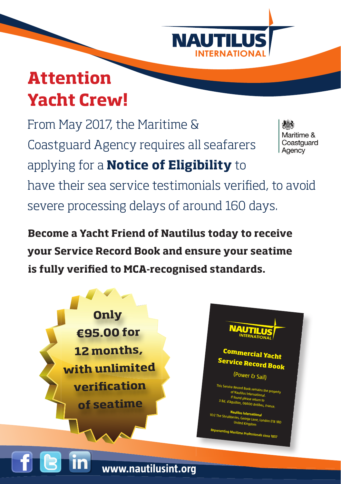

### **Attention Yacht Crew!**

From May 2017, the Maritime & Maritime & Coastguard Coastguard Agency requires all seafarers Agency applying for a **Notice of Eligibility** to have their sea service testimonials verified, to avoid severe processing delays of around 160 days.

**Become a Yacht Friend of Nautilus today to receive your Service Record Book and ensure your seatime**  is fully verified to MCA-recognised standards.

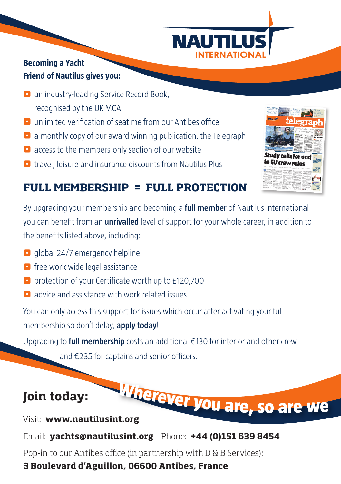

#### **Becoming a Yacht Friend of Nautilus gives you:**

- **z** an industry-leading Service Record Book, recognised by the UK MCA
- $\blacksquare$  unlimited verification of seatime from our Antibes office
- $\bullet$  a monthly copy of our award winning publication, the Telegraph
- $\blacksquare$  access to the members-only section of our website
- $\blacksquare$  travel, leisure and insurance discounts from Nautilus Plus



### **FULL MEMBERSHIP = FULL PROTECTION**

By upgrading your membership and becoming a **full member** of Nautilus International you can benefit from an **unrivalled** level of support for your whole career, in addition to the benefits listed above, including:

- $\Box$  global 24/7 emergency helpline
- $\Box$  free worldwide legal assistance
- $\blacksquare$  protection of your Certificate worth up to £120,700
- **D** advice and assistance with work-related issues

You can only access this support for issues which occur after activating your full membership so don't delay, **apply today**!

Upgrading to **full membership** costs an additional €130 for interior and other crew

and  $\epsilon$ 235 for captains and senior officers.

### **Join today:**

Visit: **www.nautilusint.org nt.orgWhereve<sup>r</sup> <sup>y</sup>o<sup>u</sup> <sup>a</sup>re, <sup>s</sup><sup>o</sup> <sup>a</sup>r<sup>e</sup> <sup>w</sup><sup>e</sup>**

Email: **yachts@nautilusint.org** Phone: **+44 (0)151 639 8454**

Pop-in to our Antibes office (in partnership with D & B Services):

#### **3 Boulevard d'Aguillon, 06600 Antibes, France**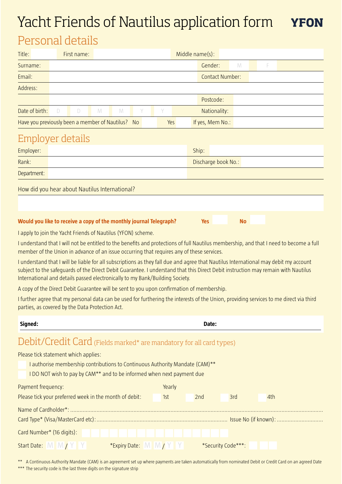# Yacht Friends of Nautilus application form **YFON**

## Personal details

| Title:                                            |  | First name: |        |                |   | Middle name(s): |     |  |                  |   |  |  |  |
|---------------------------------------------------|--|-------------|--------|----------------|---|-----------------|-----|--|------------------|---|--|--|--|
| Surname:                                          |  |             |        |                |   |                 |     |  | Gender:          | M |  |  |  |
| Email:                                            |  |             |        |                |   |                 |     |  | Contact Number:  |   |  |  |  |
| Address:                                          |  |             |        |                |   |                 |     |  |                  |   |  |  |  |
|                                                   |  |             |        |                |   |                 |     |  | Postcode:        |   |  |  |  |
| Date of birth:                                    |  | D           | $\Box$ | $\blacksquare$ | M | - Y             | Y   |  | Nationality:     |   |  |  |  |
| Have you previously been a member of Nautilus? No |  |             |        |                |   |                 | Yes |  | If yes, Mem No.: |   |  |  |  |

### Employer details

| Employer:                                      | Ship:               |
|------------------------------------------------|---------------------|
| Rank:                                          | Discharge book No.: |
| Department:                                    |                     |
| How did you hear about Nautilus International? |                     |
|                                                |                     |
|                                                |                     |

#### **Would you like to receive a copy of the monthly journal Telegraph?** Yes Yes No

I apply to join the Yacht Friends of Nautilus (YFON) scheme.

I understand that I will not be entitled to the benefits and protections of full Nautilus membership, and that I need to become a full member of the Union in advance of an issue occurring that requires any of these services.

I understand that I will be liable for all subscriptions as they fall due and agree that Nautilus International may debit my account subject to the safeguards of the Direct Debit Guarantee. I understand that this Direct Debit instruction may remain with Nautilus International and details passed electronically to my Bank/Building Society.

A copy of the Direct Debit Guarantee will be sent to you upon confirmation of membership.

I further agree that my personal data can be used for furthering the interests of the Union, providing services to me direct via third parties, as covered by the Data Protection Act.

| Signed:                                                                      |        | Date: |                    |     |  |
|------------------------------------------------------------------------------|--------|-------|--------------------|-----|--|
| Debit/Credit Card (Fields marked* are mandatory for all card types)          |        |       |                    |     |  |
| Please tick statement which applies:                                         |        |       |                    |     |  |
| I authorise membership contributions to Continuous Authority Mandate (CAM)** |        |       |                    |     |  |
| I DO NOT wish to pay by CAM** and to be informed when next payment due       |        |       |                    |     |  |
| Payment frequency:                                                           | Yearly |       |                    |     |  |
| Please tick your preferred week in the month of debit:                       | 1st    | 2nd   | 3rd                | 4th |  |
|                                                                              |        |       |                    |     |  |
|                                                                              |        |       |                    |     |  |
| Card Number* (16 digits):                                                    |        |       |                    |     |  |
| *Expiry Date: M M / Y Y<br>Start Date: M M / Y Y                             |        |       | *Security Code***: |     |  |

\*\* A Continuous Authority Mandate (CAM) is an agreement set up where payments are taken automatically from nominated Debit or Credit Card on an agreed Date \*\*\* The security code is the last three digits on the signature strip